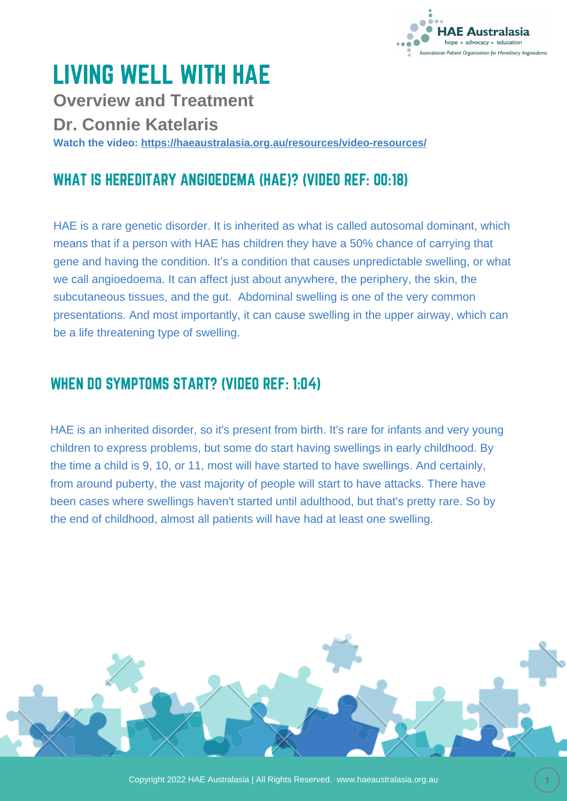

# LIVING WELL WITH HAE

**Overview and Treatment**

**Dr. Connie Katelaris**

**Watch the video: <https://haeaustralasia.org.au/resources/video-resources/>**

# WHAT IS HEREDITARY ANGIOEDEMA (HAE)? (VIDEO REF: 00:18)

HAE is a rare genetic disorder. It is inherited as what is called autosomal dominant, which means that if a person with HAE has children they have a 50% chance of carrying that gene and having the condition. It's a condition that causes unpredictable swelling, or what we call angioedoema. It can affect just about anywhere, the periphery, the skin, the subcutaneous tissues, and the gut. Abdominal swelling is one of the very common presentations. And most importantly, it can cause swelling in the upper airway, which can be a life threatening type of swelling.

#### WHEN DO SYMPTOMS START? (VIDEO REF: 1:04)

HAE is an inherited disorder, so it's present from birth. It's rare for infants and very young children to express problems, but some do start having swellings in early childhood. By the time a child is 9, 10, or 11, most will have started to have swellings. And certainly, from around puberty, the vast majority of people will start to have attacks. There have been cases where swellings haven't started until adulthood, but that's pretty rare. So by the end of childhood, almost all patients will have had at least one swelling.

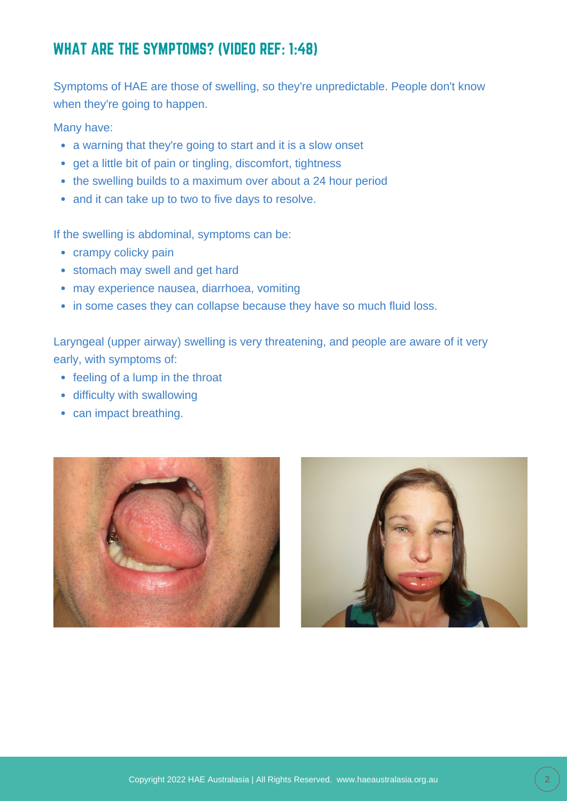# WHAT ARE THE SYMPTOMS? (VIDEO REF: 1:48)

Symptoms of HAE are those of swelling, so they're unpredictable. People don't know when they're going to happen.

Many have:

- a warning that they're going to start and it is a slow onset
- get a little bit of pain or tingling, discomfort, tightness
- the swelling builds to a maximum over about a 24 hour period
- and it can take up to two to five days to resolve.

If the swelling is abdominal, symptoms can be:

- crampy colicky pain
- stomach may swell and get hard
- may experience nausea, diarrhoea, vomiting
- in some cases they can collapse because they have so much fluid loss.

Laryngeal (upper airway) swelling is very threatening, and people are aware of it very early, with symptoms of:

- feeling of a lump in the throat
- difficulty with swallowing
- can impact breathing.



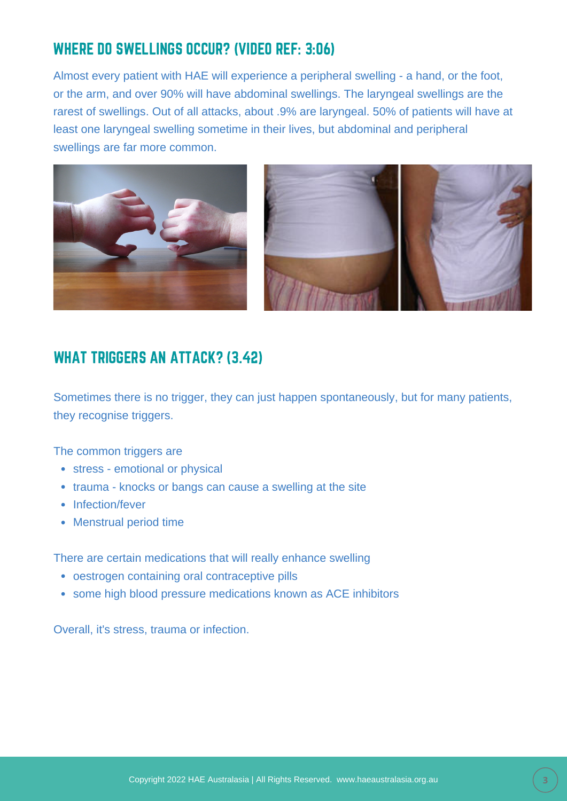# WHERE DO SWELLINGS OCCUR? (VIDEO REF: 3:06)

Almost every patient with HAE will experience a peripheral swelling - a hand, or the foot, or the arm, and over 90% will have abdominal swellings. The laryngeal swellings are the rarest of swellings. Out of all attacks, about .9% are laryngeal. 50% of patients will have at least one laryngeal swelling sometime in their lives, but abdominal and peripheral swellings are far more common.



#### WHAT TRIGGERS AN ATTACK? (3.42)

Sometimes there is no trigger, they can just happen spontaneously, but for many patients, they recognise triggers.

The common triggers are

- stress emotional or physical
- trauma knocks or bangs can cause a swelling at the site
- Infection/fever
- Menstrual period time

There are certain medications that will really enhance swelling

- oestrogen containing oral contraceptive pills
- some high blood pressure medications known as ACE inhibitors

Overall, it's stress, trauma or infection.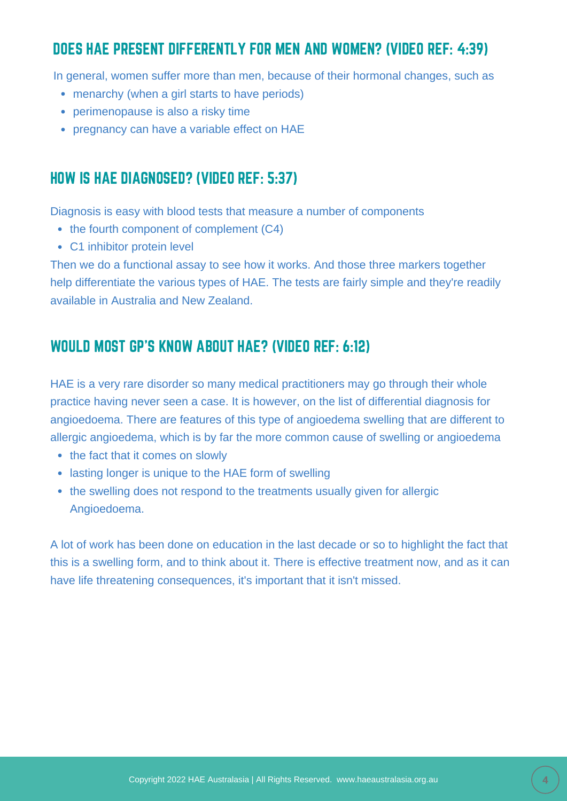# DOES HAE PRESENT DIFFERENTLY FOR MEN AND WOMEN? (VIDEO REF: 4:39)

In general, women suffer more than men, because of their hormonal changes, such as

- menarchy (when a girl starts to have periods)
- perimenopause is also a risky time
- pregnancy can have a variable effect on HAE

#### HOW IS HAE DIAGNOSED? (VIDEO REF: 5:37)

Diagnosis is easy with blood tests that measure a number of components

- $\bullet$  the fourth component of complement (C4)
- C1 inhibitor protein level

Then we do a functional assay to see how it works. And those three markers together help differentiate the various types of HAE. The tests are fairly simple and they're readily available in Australia and New Zealand.

#### WOULD MOST GP'S KNOW ABOUT HAE? (VIDEO REF: 6:12)

HAE is a very rare disorder so many medical practitioners may go through their whole practice having never seen a case. It is however, on the list of differential diagnosis for angioedoema. There are features of this type of angioedema swelling that are different to allergic angioedema, which is by far the more common cause of swelling or angioedema

- the fact that it comes on slowly
- lasting longer is unique to the HAE form of swelling
- the swelling does not respond to the treatments usually given for allergic Angioedoema.

A lot of work has been done on education in the last decade or so to highlight the fact that this is a swelling form, and to think about it. There is effective treatment now, and as it can have life threatening consequences, it's important that it isn't missed.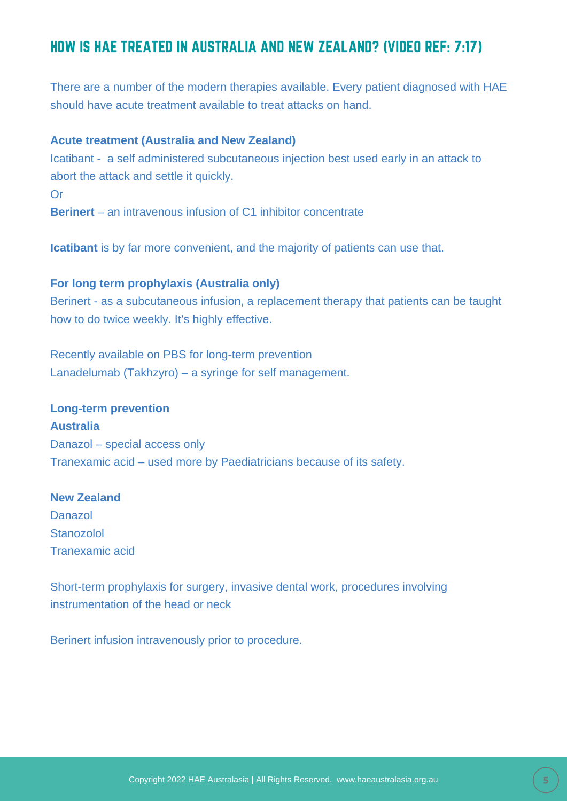### HOW IS HAE TREATED IN AUSTRALIA AND NEW ZEALAND? (VIDEO REF: 7:17)

There are a number of the modern therapies available. Every patient diagnosed with HAE should have acute treatment available to treat attacks on hand.

#### **Acute treatment (Australia and New Zealand)**

Icatibant - a self administered subcutaneous injection best used early in an attack to abort the attack and settle it quickly.

Or

**Berinert** – an intravenous infusion of C1 inhibitor concentrate

**Icatibant** is by far more convenient, and the majority of patients can use that.

#### **For long term prophylaxis (Australia only)**

Berinert - as a subcutaneous infusion, a replacement therapy that patients can be taught how to do twice weekly. It's highly effective.

Recently available on PBS for long-term prevention Lanadelumab (Takhzyro) – a syringe for self management.

#### **Long-term prevention**

**Australia** Danazol – special access only Tranexamic acid – used more by Paediatricians because of its safety.

#### **New Zealand**

Danazol Stanozolol Tranexamic acid

Short-term prophylaxis for surgery, invasive dental work, procedures involving instrumentation of the head or neck

Berinert infusion intravenously prior to procedure.